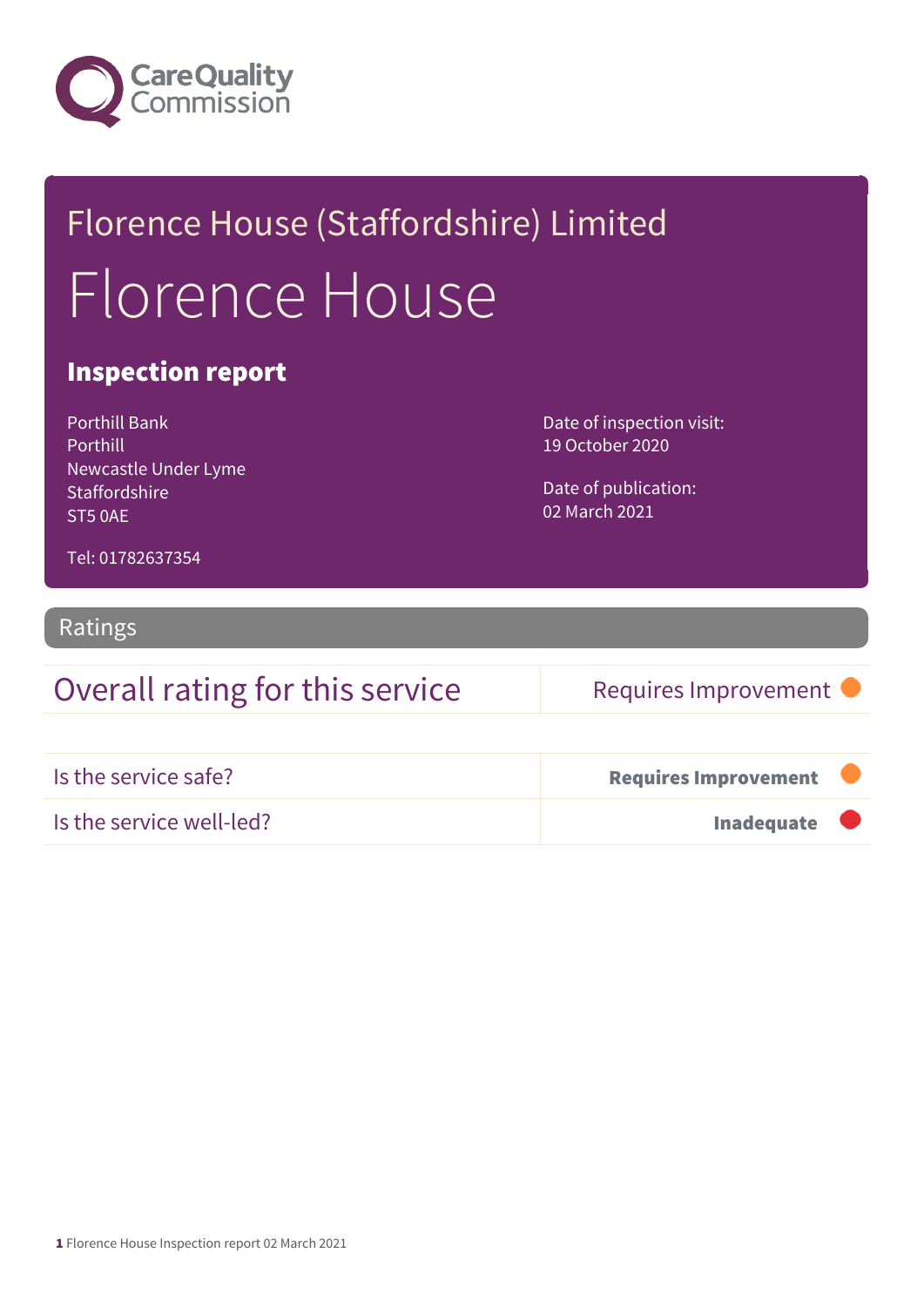

## Florence House (Staffordshire) Limited Florence House

#### Inspection report

Porthill Bank Porthill Newcastle Under Lyme **Staffordshire** ST5 0AE

Date of inspection visit: 19 October 2020

Date of publication: 02 March 2021

Tel: 01782637354

#### Ratings

### Overall rating for this service Requires Improvement

| Is the service safe?     | <b>Requires Improvement</b> |  |
|--------------------------|-----------------------------|--|
| Is the service well-led? | Inadequate                  |  |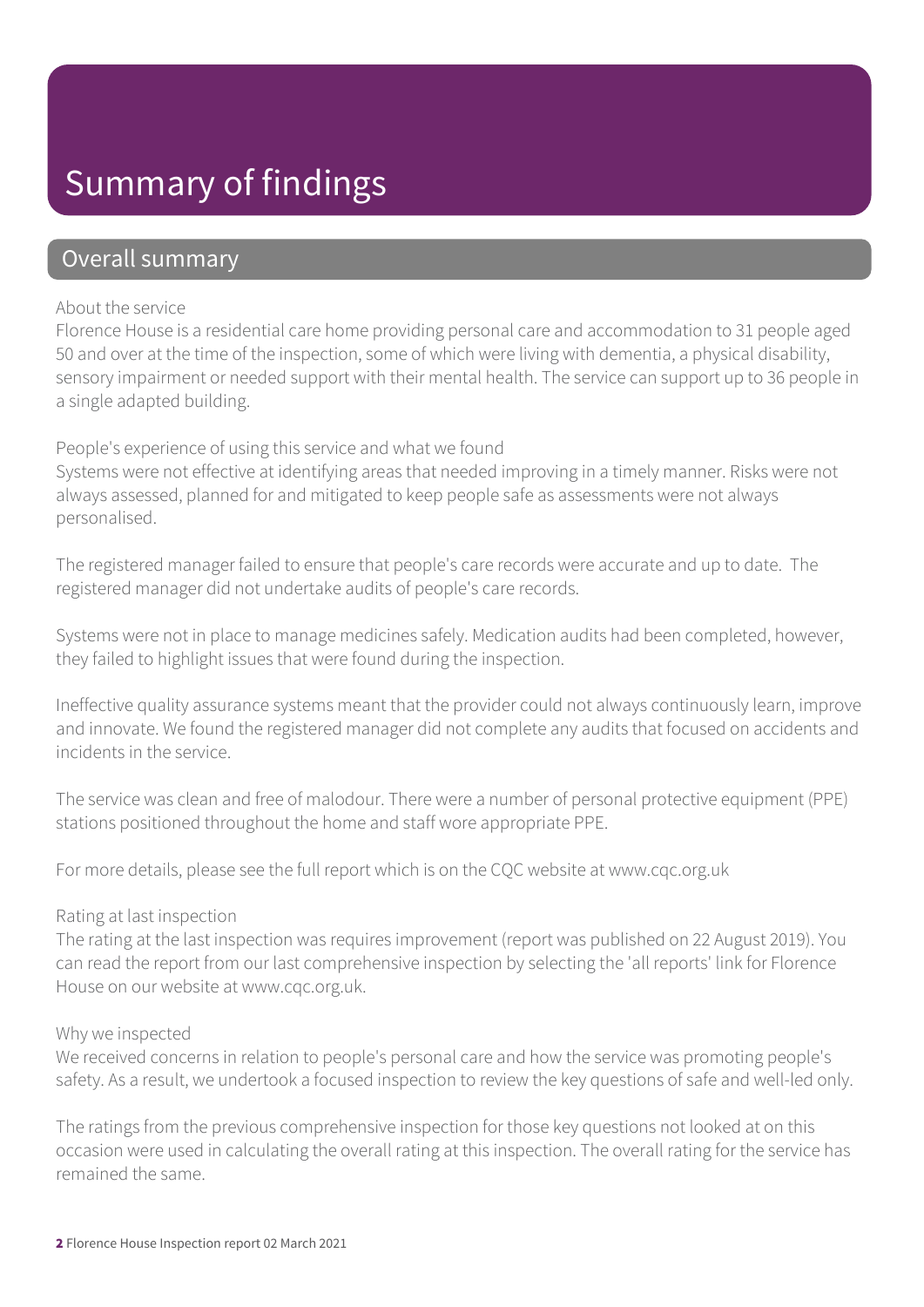### Summary of findings

#### Overall summary

#### About the service

Florence House is a residential care home providing personal care and accommodation to 31 people aged 50 and over at the time of the inspection, some of which were living with dementia, a physical disability, sensory impairment or needed support with their mental health. The service can support up to 36 people in a single adapted building.

#### People's experience of using this service and what we found

Systems were not effective at identifying areas that needed improving in a timely manner. Risks were not always assessed, planned for and mitigated to keep people safe as assessments were not always personalised.

The registered manager failed to ensure that people's care records were accurate and up to date. The registered manager did not undertake audits of people's care records.

Systems were not in place to manage medicines safely. Medication audits had been completed, however, they failed to highlight issues that were found during the inspection.

Ineffective quality assurance systems meant that the provider could not always continuously learn, improve and innovate. We found the registered manager did not complete any audits that focused on accidents and incidents in the service.

The service was clean and free of malodour. There were a number of personal protective equipment (PPE) stations positioned throughout the home and staff wore appropriate PPE.

For more details, please see the full report which is on the CQC website at www.cqc.org.uk

#### Rating at last inspection

The rating at the last inspection was requires improvement (report was published on 22 August 2019). You can read the report from our last comprehensive inspection by selecting the 'all reports' link for Florence House on our website at www.cqc.org.uk.

#### Why we inspected

We received concerns in relation to people's personal care and how the service was promoting people's safety. As a result, we undertook a focused inspection to review the key questions of safe and well-led only.

The ratings from the previous comprehensive inspection for those key questions not looked at on this occasion were used in calculating the overall rating at this inspection. The overall rating for the service has remained the same.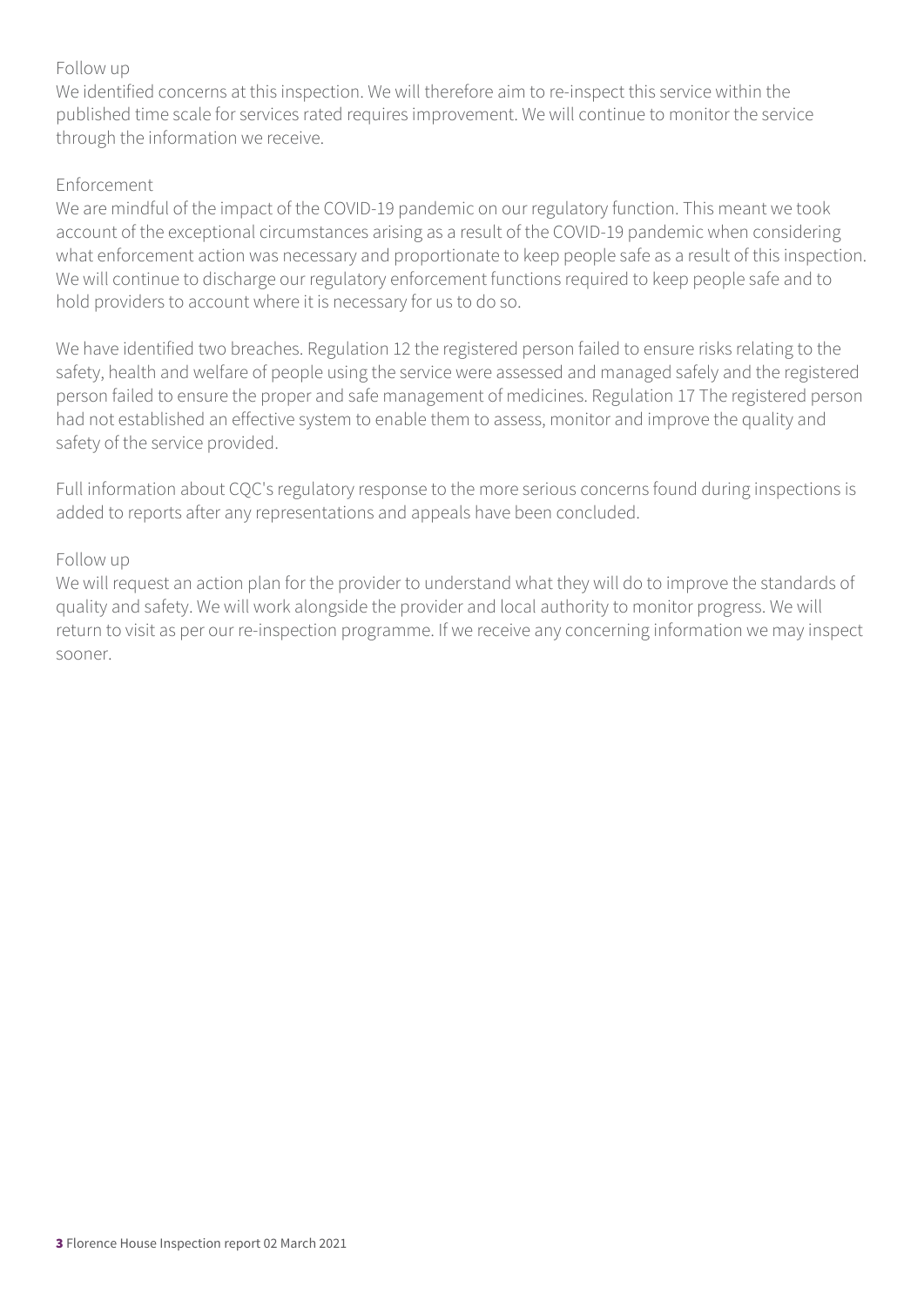#### Follow up

We identified concerns at this inspection. We will therefore aim to re-inspect this service within the published time scale for services rated requires improvement. We will continue to monitor the service through the information we receive.

#### Enforcement

We are mindful of the impact of the COVID-19 pandemic on our regulatory function. This meant we took account of the exceptional circumstances arising as a result of the COVID-19 pandemic when considering what enforcement action was necessary and proportionate to keep people safe as a result of this inspection. We will continue to discharge our regulatory enforcement functions required to keep people safe and to hold providers to account where it is necessary for us to do so.

We have identified two breaches. Regulation 12 the registered person failed to ensure risks relating to the safety, health and welfare of people using the service were assessed and managed safely and the registered person failed to ensure the proper and safe management of medicines. Regulation 17 The registered person had not established an effective system to enable them to assess, monitor and improve the quality and safety of the service provided.

Full information about CQC's regulatory response to the more serious concerns found during inspections is added to reports after any representations and appeals have been concluded.

#### Follow up

We will request an action plan for the provider to understand what they will do to improve the standards of quality and safety. We will work alongside the provider and local authority to monitor progress. We will return to visit as per our re-inspection programme. If we receive any concerning information we may inspect sooner.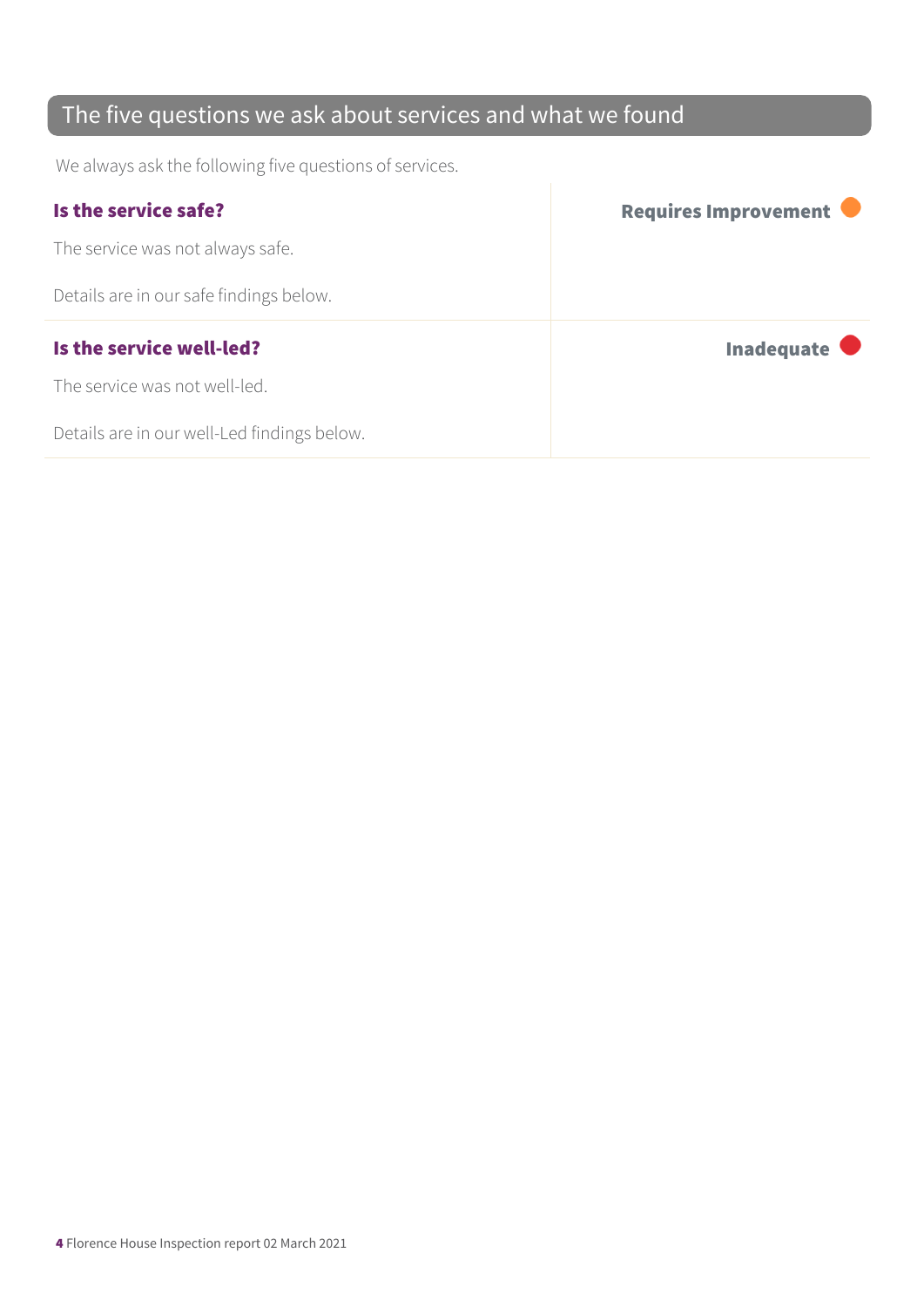### The five questions we ask about services and what we found

We always ask the following five questions of services.

| Is the service safe?                    | Requires Improvement |
|-----------------------------------------|----------------------|
| The service was not always safe.        |                      |
| Details are in our safe findings below. |                      |
|                                         |                      |
| Is the service well-led?                | Inadequate $\bullet$ |
| The service was not well-led.           |                      |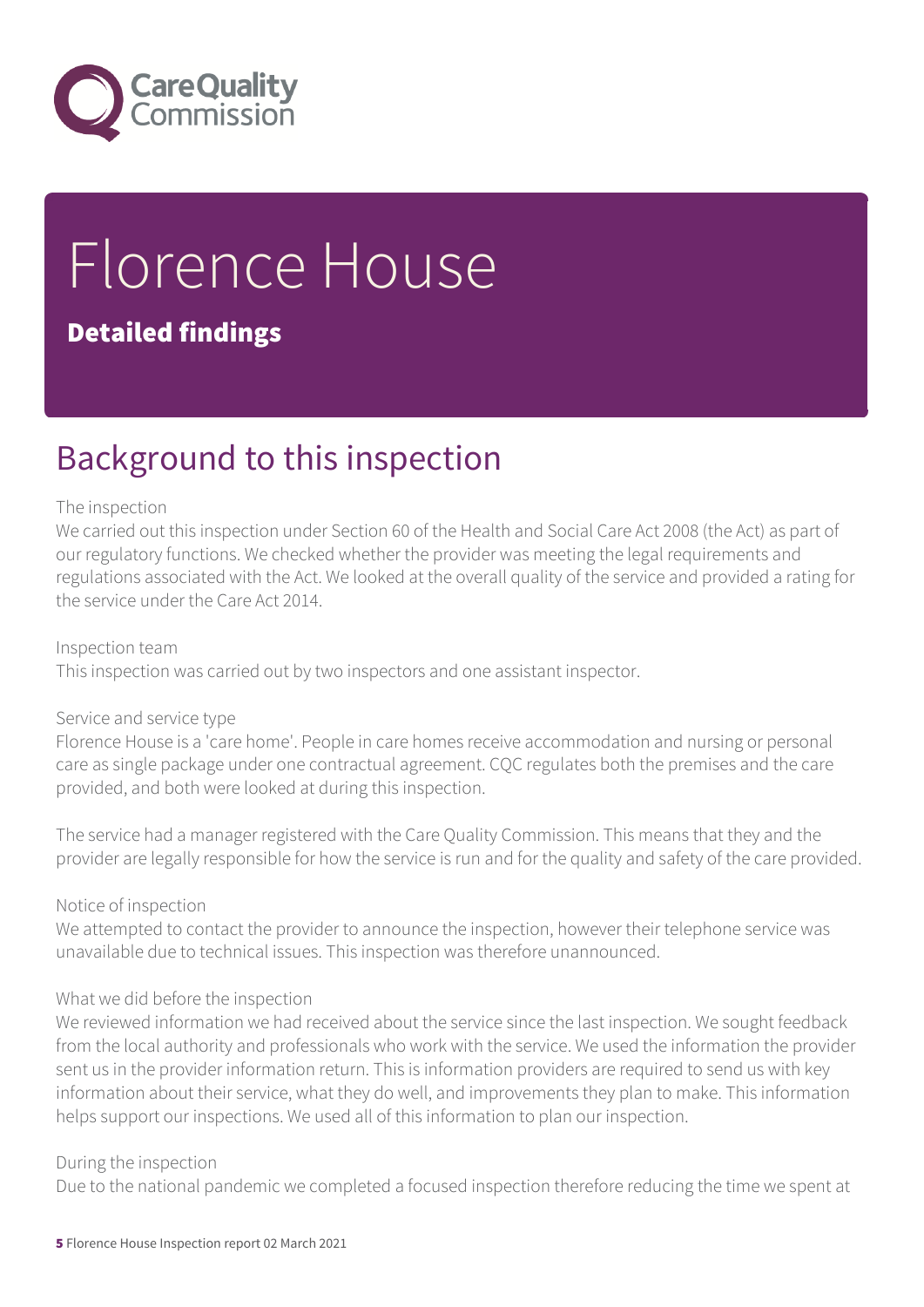

# Florence House

#### Detailed findings

### Background to this inspection

#### The inspection

We carried out this inspection under Section 60 of the Health and Social Care Act 2008 (the Act) as part of our regulatory functions. We checked whether the provider was meeting the legal requirements and regulations associated with the Act. We looked at the overall quality of the service and provided a rating for the service under the Care Act 2014.

#### Inspection team

This inspection was carried out by two inspectors and one assistant inspector.

#### Service and service type

Florence House is a 'care home'. People in care homes receive accommodation and nursing or personal care as single package under one contractual agreement. CQC regulates both the premises and the care provided, and both were looked at during this inspection.

The service had a manager registered with the Care Quality Commission. This means that they and the provider are legally responsible for how the service is run and for the quality and safety of the care provided.

#### Notice of inspection

We attempted to contact the provider to announce the inspection, however their telephone service was unavailable due to technical issues. This inspection was therefore unannounced.

#### What we did before the inspection

We reviewed information we had received about the service since the last inspection. We sought feedback from the local authority and professionals who work with the service. We used the information the provider sent us in the provider information return. This is information providers are required to send us with key information about their service, what they do well, and improvements they plan to make. This information helps support our inspections. We used all of this information to plan our inspection.

#### During the inspection

Due to the national pandemic we completed a focused inspection therefore reducing the time we spent at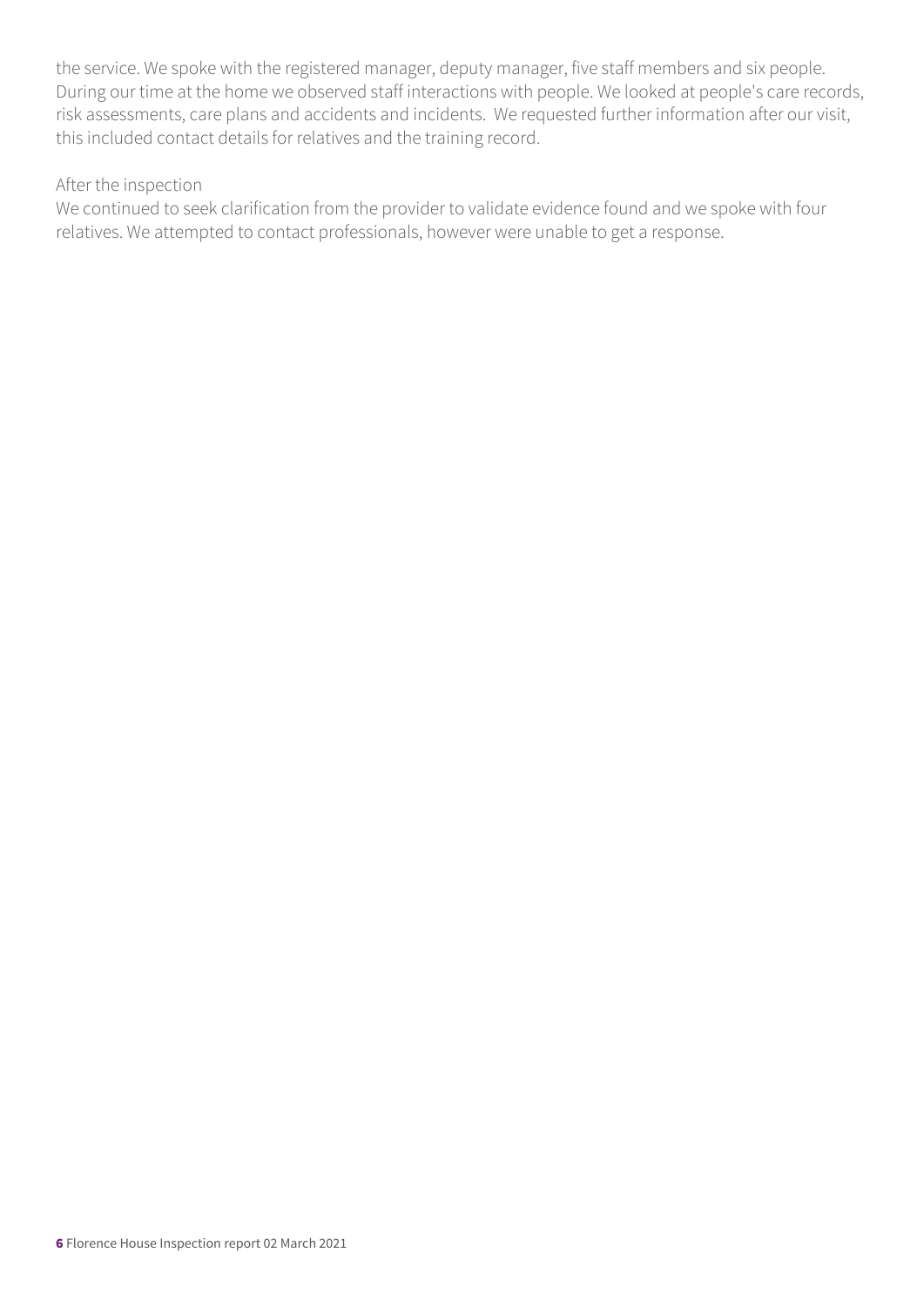the service. We spoke with the registered manager, deputy manager, five staff members and six people. During our time at the home we observed staff interactions with people. We looked at people's care records, risk assessments, care plans and accidents and incidents. We requested further information after our visit, this included contact details for relatives and the training record.

#### After the inspection

We continued to seek clarification from the provider to validate evidence found and we spoke with four relatives. We attempted to contact professionals, however were unable to get a response.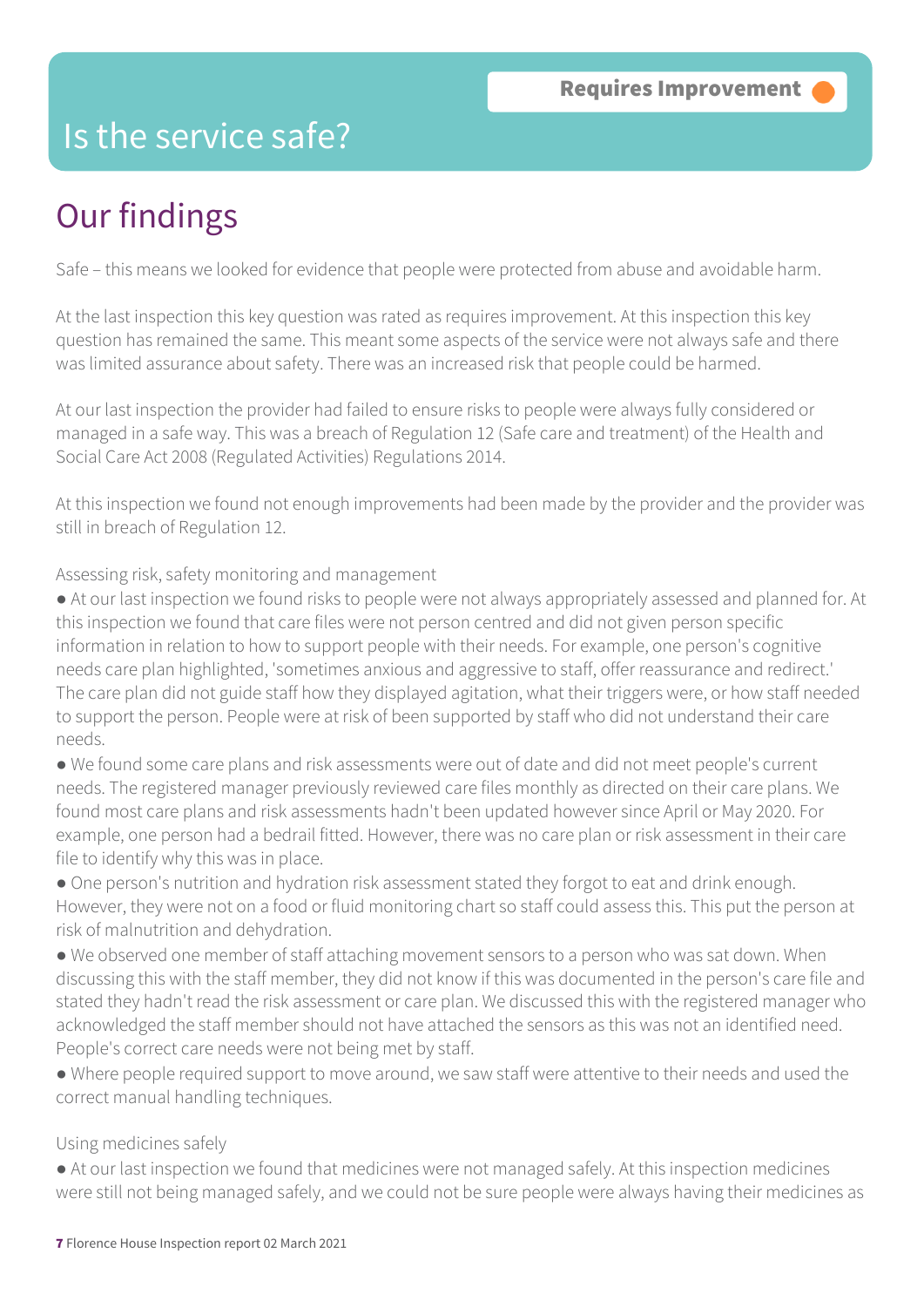### Is the service safe?

### Our findings

Safe – this means we looked for evidence that people were protected from abuse and avoidable harm.

At the last inspection this key question was rated as requires improvement. At this inspection this key question has remained the same. This meant some aspects of the service were not always safe and there was limited assurance about safety. There was an increased risk that people could be harmed.

At our last inspection the provider had failed to ensure risks to people were always fully considered or managed in a safe way. This was a breach of Regulation 12 (Safe care and treatment) of the Health and Social Care Act 2008 (Regulated Activities) Regulations 2014.

At this inspection we found not enough improvements had been made by the provider and the provider was still in breach of Regulation 12.

Assessing risk, safety monitoring and management

- At our last inspection we found risks to people were not always appropriately assessed and planned for. At this inspection we found that care files were not person centred and did not given person specific information in relation to how to support people with their needs. For example, one person's cognitive needs care plan highlighted, 'sometimes anxious and aggressive to staff, offer reassurance and redirect.' The care plan did not guide staff how they displayed agitation, what their triggers were, or how staff needed to support the person. People were at risk of been supported by staff who did not understand their care needs.
- We found some care plans and risk assessments were out of date and did not meet people's current needs. The registered manager previously reviewed care files monthly as directed on their care plans. We found most care plans and risk assessments hadn't been updated however since April or May 2020. For example, one person had a bedrail fitted. However, there was no care plan or risk assessment in their care file to identify why this was in place.
- One person's nutrition and hydration risk assessment stated they forgot to eat and drink enough. However, they were not on a food or fluid monitoring chart so staff could assess this. This put the person at risk of malnutrition and dehydration.
- We observed one member of staff attaching movement sensors to a person who was sat down. When discussing this with the staff member, they did not know if this was documented in the person's care file and stated they hadn't read the risk assessment or care plan. We discussed this with the registered manager who acknowledged the staff member should not have attached the sensors as this was not an identified need. People's correct care needs were not being met by staff.
- Where people required support to move around, we saw staff were attentive to their needs and used the correct manual handling techniques.

#### Using medicines safely

● At our last inspection we found that medicines were not managed safely. At this inspection medicines were still not being managed safely, and we could not be sure people were always having their medicines as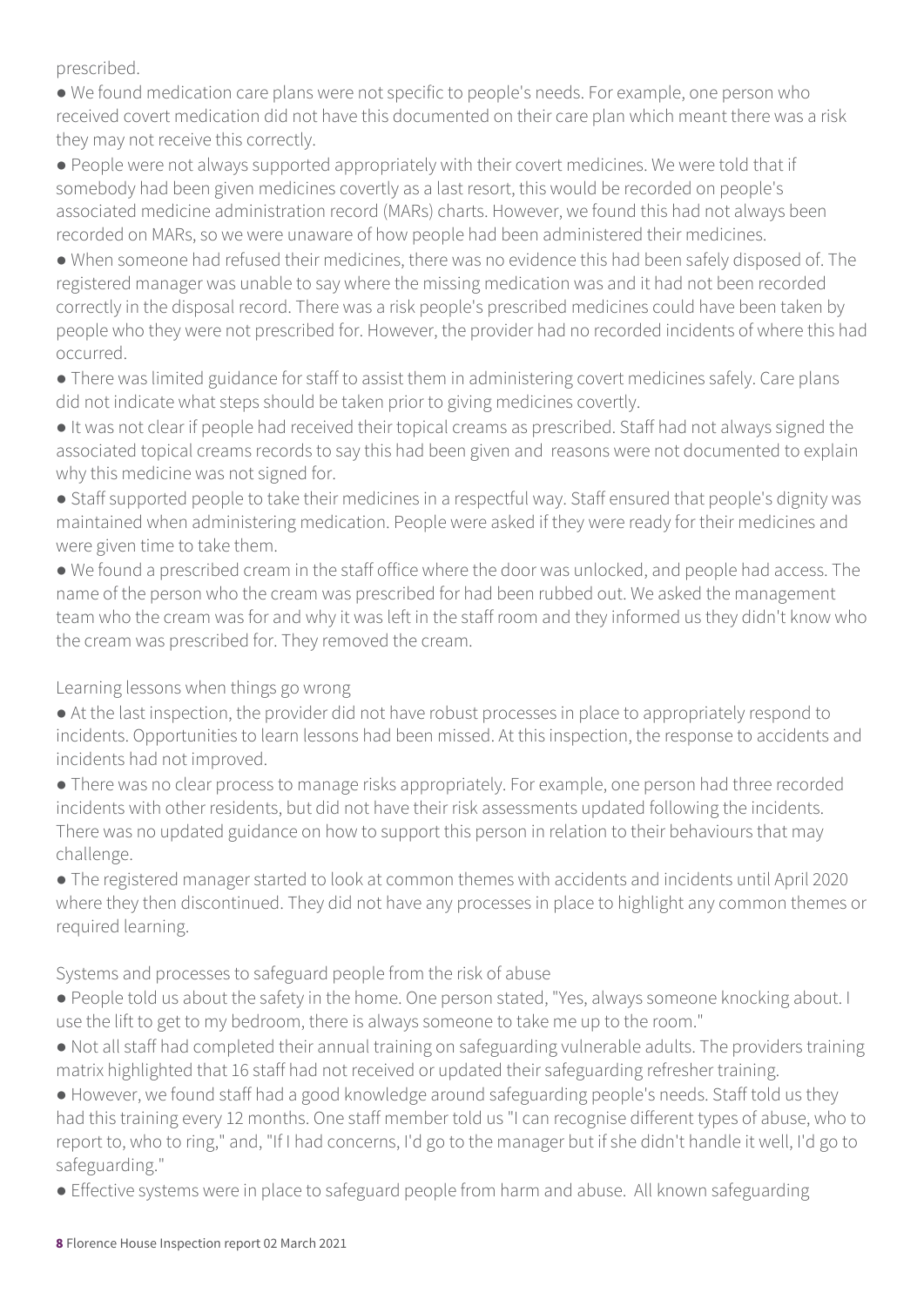prescribed.

● We found medication care plans were not specific to people's needs. For example, one person who received covert medication did not have this documented on their care plan which meant there was a risk they may not receive this correctly.

● People were not always supported appropriately with their covert medicines. We were told that if somebody had been given medicines covertly as a last resort, this would be recorded on people's associated medicine administration record (MARs) charts. However, we found this had not always been recorded on MARs, so we were unaware of how people had been administered their medicines.

● When someone had refused their medicines, there was no evidence this had been safely disposed of. The registered manager was unable to say where the missing medication was and it had not been recorded correctly in the disposal record. There was a risk people's prescribed medicines could have been taken by people who they were not prescribed for. However, the provider had no recorded incidents of where this had occurred.

● There was limited guidance for staff to assist them in administering covert medicines safely. Care plans did not indicate what steps should be taken prior to giving medicines covertly.

● It was not clear if people had received their topical creams as prescribed. Staff had not always signed the associated topical creams records to say this had been given and reasons were not documented to explain why this medicine was not signed for.

● Staff supported people to take their medicines in a respectful way. Staff ensured that people's dignity was maintained when administering medication. People were asked if they were ready for their medicines and were given time to take them.

● We found a prescribed cream in the staff office where the door was unlocked, and people had access. The name of the person who the cream was prescribed for had been rubbed out. We asked the management team who the cream was for and why it was left in the staff room and they informed us they didn't know who the cream was prescribed for. They removed the cream.

Learning lessons when things go wrong

● At the last inspection, the provider did not have robust processes in place to appropriately respond to incidents. Opportunities to learn lessons had been missed. At this inspection, the response to accidents and incidents had not improved.

● There was no clear process to manage risks appropriately. For example, one person had three recorded incidents with other residents, but did not have their risk assessments updated following the incidents. There was no updated guidance on how to support this person in relation to their behaviours that may challenge.

● The registered manager started to look at common themes with accidents and incidents until April 2020 where they then discontinued. They did not have any processes in place to highlight any common themes or required learning.

Systems and processes to safeguard people from the risk of abuse

● People told us about the safety in the home. One person stated, "Yes, always someone knocking about. I use the lift to get to my bedroom, there is always someone to take me up to the room."

● Not all staff had completed their annual training on safeguarding vulnerable adults. The providers training matrix highlighted that 16 staff had not received or updated their safeguarding refresher training.

● However, we found staff had a good knowledge around safeguarding people's needs. Staff told us they had this training every 12 months. One staff member told us "I can recognise different types of abuse, who to report to, who to ring," and, "If I had concerns, I'd go to the manager but if she didn't handle it well, I'd go to safeguarding."

● Effective systems were in place to safeguard people from harm and abuse. All known safeguarding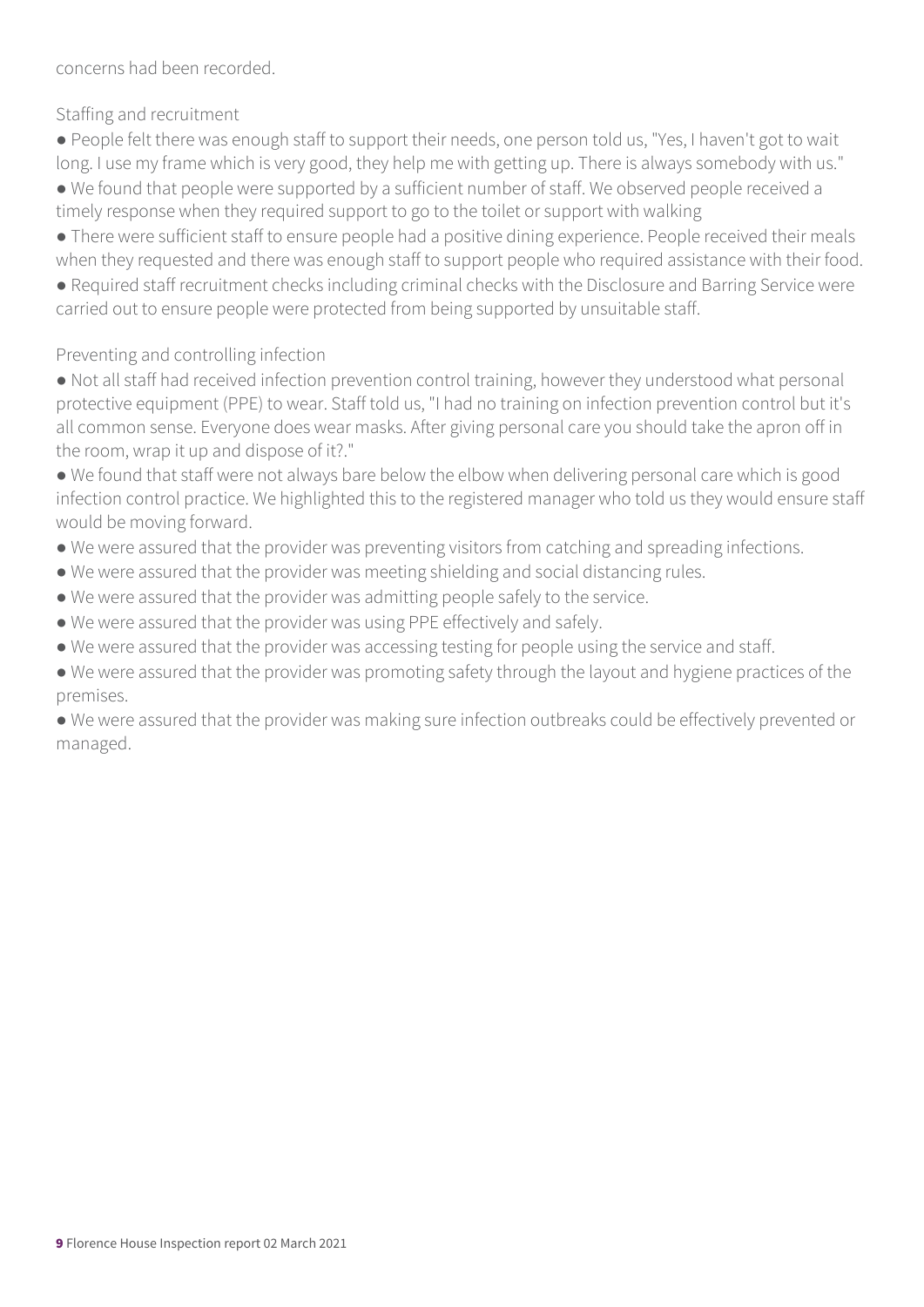concerns had been recorded.

Staffing and recruitment

● People felt there was enough staff to support their needs, one person told us, "Yes, I haven't got to wait long. I use my frame which is very good, they help me with getting up. There is always somebody with us." ● We found that people were supported by a sufficient number of staff. We observed people received a timely response when they required support to go to the toilet or support with walking

● There were sufficient staff to ensure people had a positive dining experience. People received their meals when they requested and there was enough staff to support people who required assistance with their food.

● Required staff recruitment checks including criminal checks with the Disclosure and Barring Service were carried out to ensure people were protected from being supported by unsuitable staff.

#### Preventing and controlling infection

● Not all staff had received infection prevention control training, however they understood what personal protective equipment (PPE) to wear. Staff told us, "I had no training on infection prevention control but it's all common sense. Everyone does wear masks. After giving personal care you should take the apron off in the room, wrap it up and dispose of it?."

● We found that staff were not always bare below the elbow when delivering personal care which is good infection control practice. We highlighted this to the registered manager who told us they would ensure staff would be moving forward.

- We were assured that the provider was preventing visitors from catching and spreading infections.
- We were assured that the provider was meeting shielding and social distancing rules.
- We were assured that the provider was admitting people safely to the service.
- We were assured that the provider was using PPE effectively and safely.
- We were assured that the provider was accessing testing for people using the service and staff.
- We were assured that the provider was promoting safety through the layout and hygiene practices of the premises.

● We were assured that the provider was making sure infection outbreaks could be effectively prevented or managed.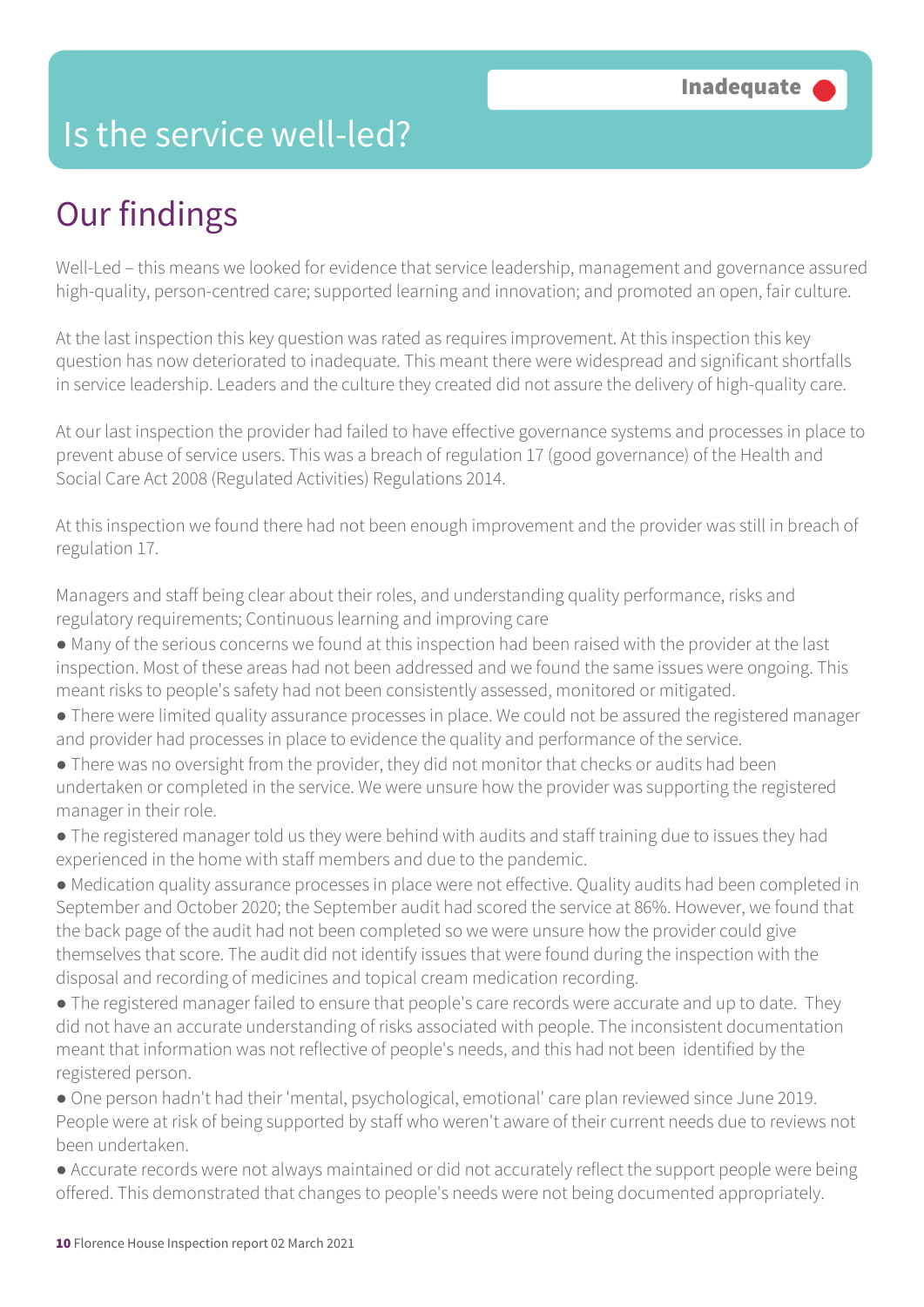### Is the service well-led?

### Our findings

Well-Led – this means we looked for evidence that service leadership, management and governance assured high-quality, person-centred care; supported learning and innovation; and promoted an open, fair culture.

At the last inspection this key question was rated as requires improvement. At this inspection this key question has now deteriorated to inadequate. This meant there were widespread and significant shortfalls in service leadership. Leaders and the culture they created did not assure the delivery of high-quality care.

At our last inspection the provider had failed to have effective governance systems and processes in place to prevent abuse of service users. This was a breach of regulation 17 (good governance) of the Health and Social Care Act 2008 (Regulated Activities) Regulations 2014.

At this inspection we found there had not been enough improvement and the provider was still in breach of regulation 17.

Managers and staff being clear about their roles, and understanding quality performance, risks and regulatory requirements; Continuous learning and improving care

- Many of the serious concerns we found at this inspection had been raised with the provider at the last inspection. Most of these areas had not been addressed and we found the same issues were ongoing. This meant risks to people's safety had not been consistently assessed, monitored or mitigated.
- There were limited quality assurance processes in place. We could not be assured the registered manager and provider had processes in place to evidence the quality and performance of the service.
- There was no oversight from the provider, they did not monitor that checks or audits had been undertaken or completed in the service. We were unsure how the provider was supporting the registered manager in their role.
- The registered manager told us they were behind with audits and staff training due to issues they had experienced in the home with staff members and due to the pandemic.
- Medication quality assurance processes in place were not effective. Quality audits had been completed in September and October 2020; the September audit had scored the service at 86%. However, we found that the back page of the audit had not been completed so we were unsure how the provider could give themselves that score. The audit did not identify issues that were found during the inspection with the disposal and recording of medicines and topical cream medication recording.
- The registered manager failed to ensure that people's care records were accurate and up to date. They did not have an accurate understanding of risks associated with people. The inconsistent documentation meant that information was not reflective of people's needs, and this had not been identified by the registered person.
- One person hadn't had their 'mental, psychological, emotional' care plan reviewed since June 2019. People were at risk of being supported by staff who weren't aware of their current needs due to reviews not been undertaken.
- Accurate records were not always maintained or did not accurately reflect the support people were being offered. This demonstrated that changes to people's needs were not being documented appropriately.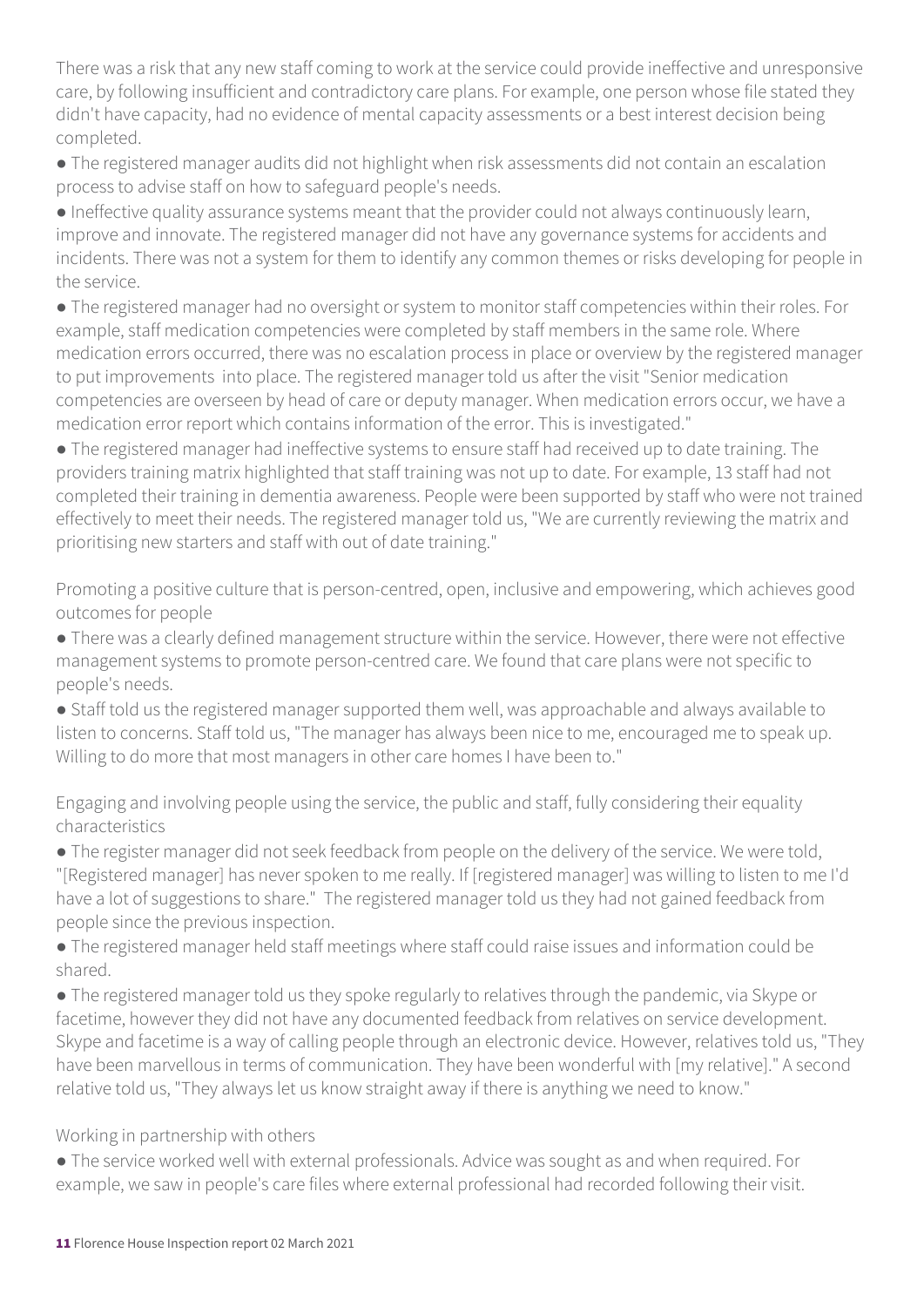There was a risk that any new staff coming to work at the service could provide ineffective and unresponsive care, by following insufficient and contradictory care plans. For example, one person whose file stated they didn't have capacity, had no evidence of mental capacity assessments or a best interest decision being completed.

● The registered manager audits did not highlight when risk assessments did not contain an escalation process to advise staff on how to safeguard people's needs.

● Ineffective quality assurance systems meant that the provider could not always continuously learn, improve and innovate. The registered manager did not have any governance systems for accidents and incidents. There was not a system for them to identify any common themes or risks developing for people in the service.

● The registered manager had no oversight or system to monitor staff competencies within their roles. For example, staff medication competencies were completed by staff members in the same role. Where medication errors occurred, there was no escalation process in place or overview by the registered manager to put improvements into place. The registered manager told us after the visit "Senior medication competencies are overseen by head of care or deputy manager. When medication errors occur, we have a medication error report which contains information of the error. This is investigated."

● The registered manager had ineffective systems to ensure staff had received up to date training. The providers training matrix highlighted that staff training was not up to date. For example, 13 staff had not completed their training in dementia awareness. People were been supported by staff who were not trained effectively to meet their needs. The registered manager told us, "We are currently reviewing the matrix and prioritising new starters and staff with out of date training."

Promoting a positive culture that is person-centred, open, inclusive and empowering, which achieves good outcomes for people

● There was a clearly defined management structure within the service. However, there were not effective management systems to promote person-centred care. We found that care plans were not specific to people's needs.

● Staff told us the registered manager supported them well, was approachable and always available to listen to concerns. Staff told us, "The manager has always been nice to me, encouraged me to speak up. Willing to do more that most managers in other care homes I have been to."

Engaging and involving people using the service, the public and staff, fully considering their equality characteristics

● The register manager did not seek feedback from people on the delivery of the service. We were told, "[Registered manager] has never spoken to me really. If [registered manager] was willing to listen to me I'd have a lot of suggestions to share." The registered manager told us they had not gained feedback from people since the previous inspection.

● The registered manager held staff meetings where staff could raise issues and information could be shared.

● The registered manager told us they spoke regularly to relatives through the pandemic, via Skype or facetime, however they did not have any documented feedback from relatives on service development. Skype and facetime is a way of calling people through an electronic device. However, relatives told us, "They have been marvellous in terms of communication. They have been wonderful with [my relative]." A second relative told us, "They always let us know straight away if there is anything we need to know."

Working in partnership with others

● The service worked well with external professionals. Advice was sought as and when required. For example, we saw in people's care files where external professional had recorded following their visit.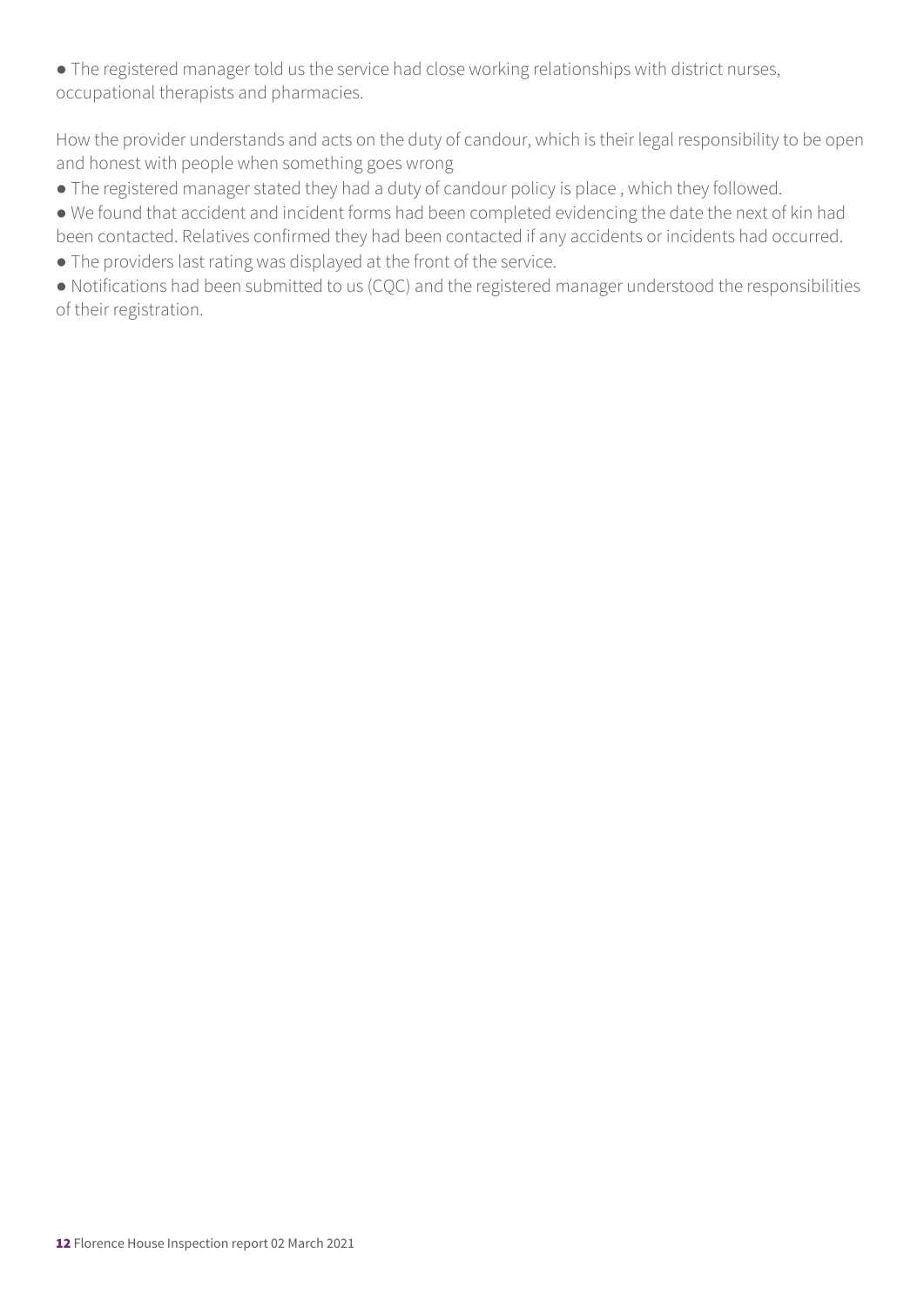● The registered manager told us the service had close working relationships with district nurses, occupational therapists and pharmacies.

How the provider understands and acts on the duty of candour, which is their legal responsibility to be open and honest with people when something goes wrong

- The registered manager stated they had a duty of candour policy is place , which they followed.
- We found that accident and incident forms had been completed evidencing the date the next of kin had been contacted. Relatives confirmed they had been contacted if any accidents or incidents had occurred.
- The providers last rating was displayed at the front of the service.

● Notifications had been submitted to us (CQC) and the registered manager understood the responsibilities of their registration.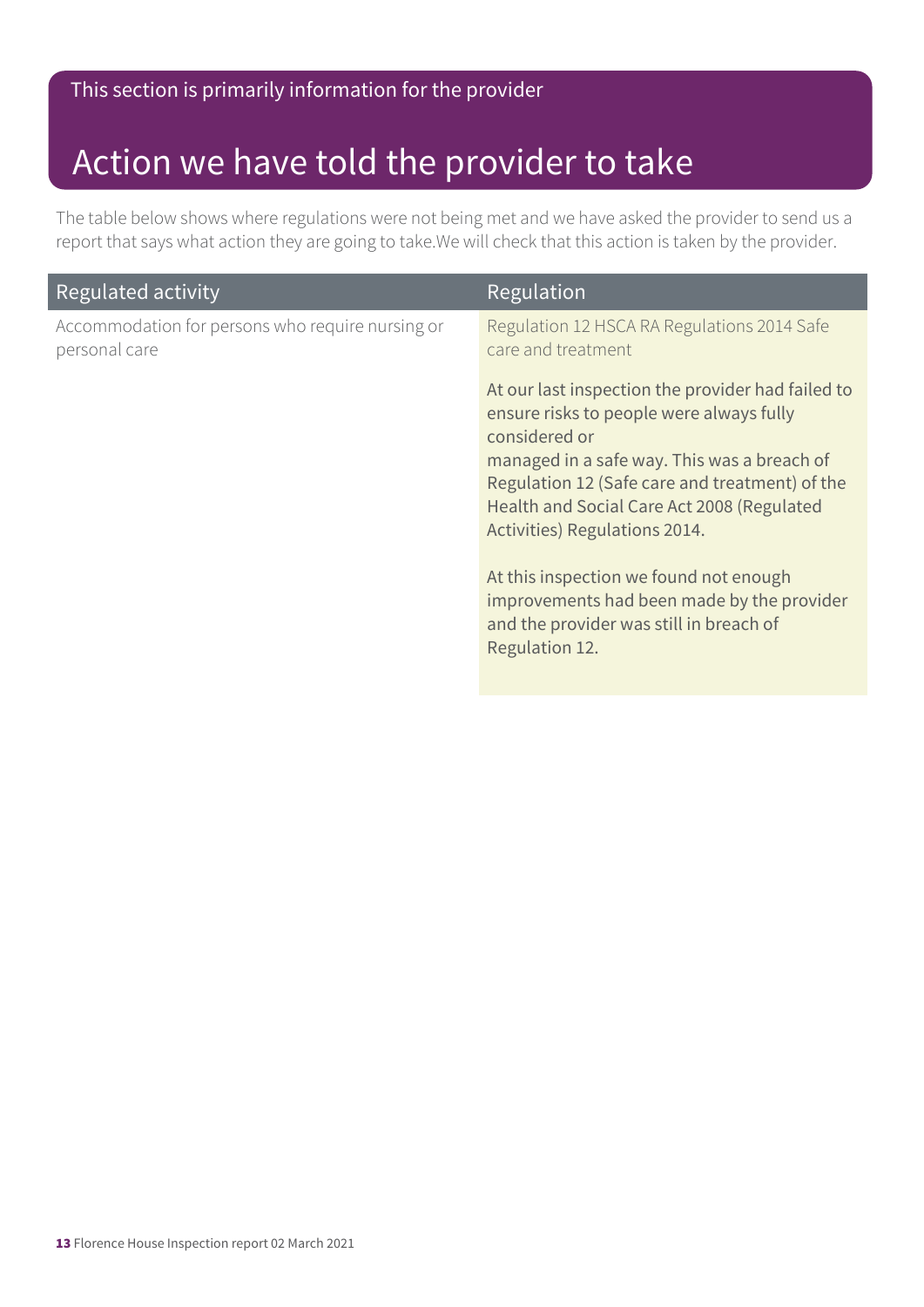### Action we have told the provider to take

The table below shows where regulations were not being met and we have asked the provider to send us a report that says what action they are going to take.We will check that this action is taken by the provider.

| Regulated activity                                                | Regulation                                                                                                                                                                                                                                                                                     |
|-------------------------------------------------------------------|------------------------------------------------------------------------------------------------------------------------------------------------------------------------------------------------------------------------------------------------------------------------------------------------|
| Accommodation for persons who require nursing or<br>personal care | Regulation 12 HSCA RA Regulations 2014 Safe<br>care and treatment                                                                                                                                                                                                                              |
|                                                                   | At our last inspection the provider had failed to<br>ensure risks to people were always fully<br>considered or<br>managed in a safe way. This was a breach of<br>Regulation 12 (Safe care and treatment) of the<br>Health and Social Care Act 2008 (Regulated<br>Activities) Regulations 2014. |
|                                                                   | At this inspection we found not enough<br>improvements had been made by the provider<br>and the provider was still in breach of<br>Regulation 12.                                                                                                                                              |